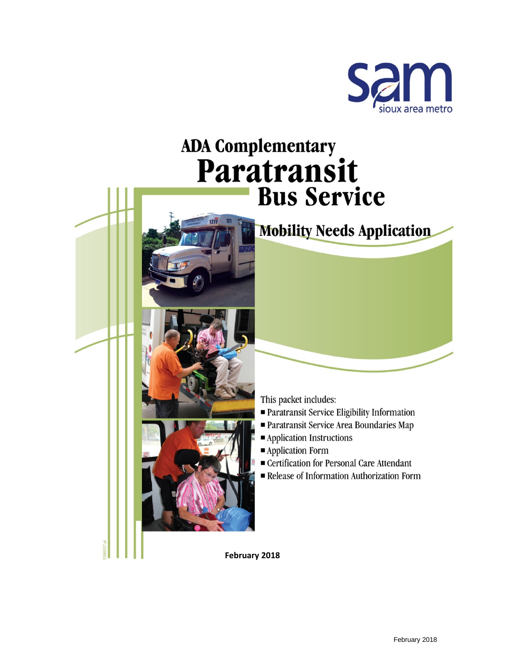

# **ADA Complementary** Paratransit **Bus Service**

## **Mobility Needs Application**

This packet includes:

- Paratransit Service Eligibility Information
- Paratransit Service Area Boundaries Map
- Application Instructions
- Application Form
- Certification for Personal Care Attendant
- Release of Information Authorization Form

February 2018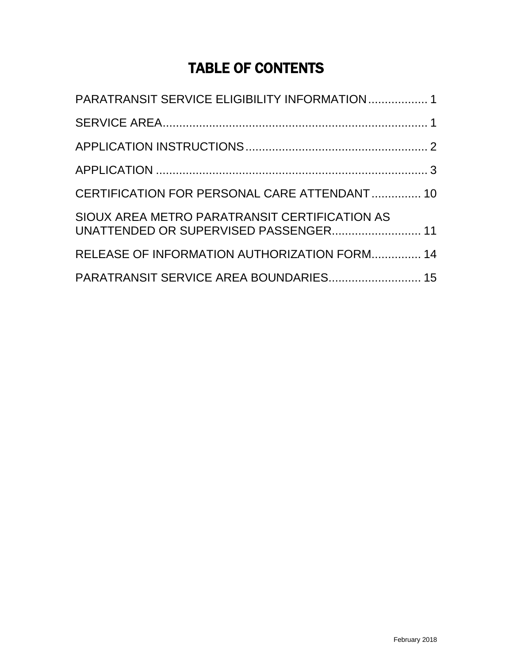## TABLE OF CONTENTS

| PARATRANSIT SERVICE ELIGIBILITY INFORMATION  1                                         |  |
|----------------------------------------------------------------------------------------|--|
|                                                                                        |  |
|                                                                                        |  |
|                                                                                        |  |
| CERTIFICATION FOR PERSONAL CARE ATTENDANT 10                                           |  |
| SIOUX AREA METRO PARATRANSIT CERTIFICATION AS<br>UNATTENDED OR SUPERVISED PASSENGER 11 |  |
| RELEASE OF INFORMATION AUTHORIZATION FORM 14                                           |  |
| PARATRANSIT SERVICE AREA BOUNDARIES 15                                                 |  |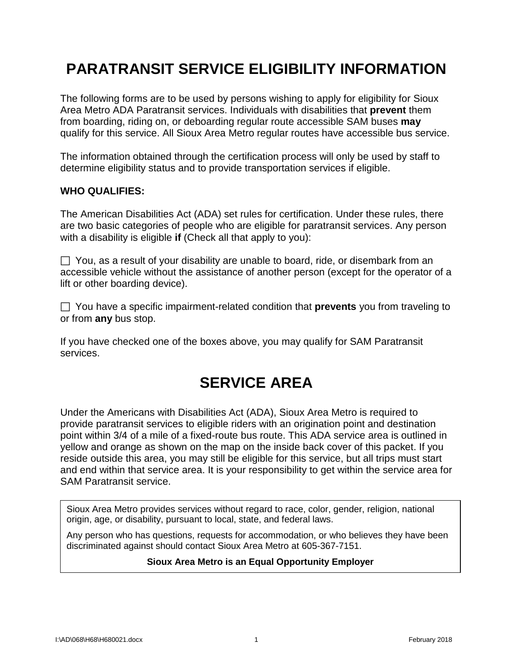## **PARATRANSIT SERVICE ELIGIBILITY INFORMATION**

The following forms are to be used by persons wishing to apply for eligibility for Sioux Area Metro ADA Paratransit services. Individuals with disabilities that **prevent** them from boarding, riding on, or deboarding regular route accessible SAM buses **may**  qualify for this service. All Sioux Area Metro regular routes have accessible bus service.

The information obtained through the certification process will only be used by staff to determine eligibility status and to provide transportation services if eligible.

#### **WHO QUALIFIES:**

The American Disabilities Act (ADA) set rules for certification. Under these rules, there are two basic categories of people who are eligible for paratransit services. Any person with a disability is eligible **if** (Check all that apply to you):

 $\Box$  You, as a result of your disability are unable to board, ride, or disembark from an accessible vehicle without the assistance of another person (except for the operator of a lift or other boarding device).

 You have a specific impairment-related condition that **prevents** you from traveling to or from **any** bus stop.

If you have checked one of the boxes above, you may qualify for SAM Paratransit services.

## **SERVICE AREA**

Under the Americans with Disabilities Act (ADA), Sioux Area Metro is required to provide paratransit services to eligible riders with an origination point and destination point within 3/4 of a mile of a fixed-route bus route. This ADA service area is outlined in yellow and orange as shown on the map on the inside back cover of this packet. If you reside outside this area, you may still be eligible for this service, but all trips must start and end within that service area. It is your responsibility to get within the service area for SAM Paratransit service.

Sioux Area Metro provides services without regard to race, color, gender, religion, national origin, age, or disability, pursuant to local, state, and federal laws.

Any person who has questions, requests for accommodation, or who believes they have been discriminated against should contact Sioux Area Metro at 605-367-7151.

## **Sioux Area Metro is an Equal Opportunity Employer**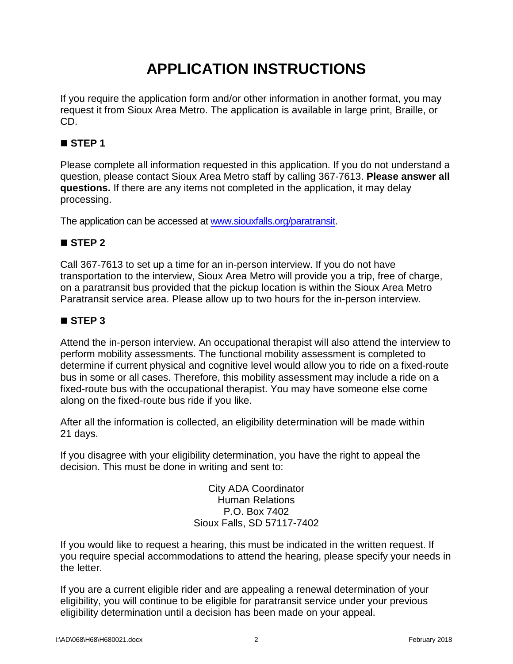## **APPLICATION INSTRUCTIONS**

If you require the application form and/or other information in another format, you may request it from Sioux Area Metro. The application is available in large print, Braille, or CD.

### **STEP 1**

Please complete all information requested in this application. If you do not understand a question, please contact Sioux Area Metro staff by calling 367-7613. **Please answer all questions.** If there are any items not completed in the application, it may delay processing.

The application can be accessed at [www.siouxfalls.org/paratransit.](http://www.siouxfalls.org/paratransit)

### **STEP 2**

Call 367-7613 to set up a time for an in-person interview. If you do not have transportation to the interview, Sioux Area Metro will provide you a trip, free of charge, on a paratransit bus provided that the pickup location is within the Sioux Area Metro Paratransit service area. Please allow up to two hours for the in-person interview.

### **STEP 3**

Attend the in-person interview. An occupational therapist will also attend the interview to perform mobility assessments. The functional mobility assessment is completed to determine if current physical and cognitive level would allow you to ride on a fixed-route bus in some or all cases. Therefore, this mobility assessment may include a ride on a fixed-route bus with the occupational therapist. You may have someone else come along on the fixed-route bus ride if you like.

After all the information is collected, an eligibility determination will be made within 21 days.

If you disagree with your eligibility determination, you have the right to appeal the decision. This must be done in writing and sent to:

> City ADA Coordinator Human Relations P.O. Box 7402 Sioux Falls, SD 57117-7402

If you would like to request a hearing, this must be indicated in the written request. If you require special accommodations to attend the hearing, please specify your needs in the letter.

If you are a current eligible rider and are appealing a renewal determination of your eligibility, you will continue to be eligible for paratransit service under your previous eligibility determination until a decision has been made on your appeal.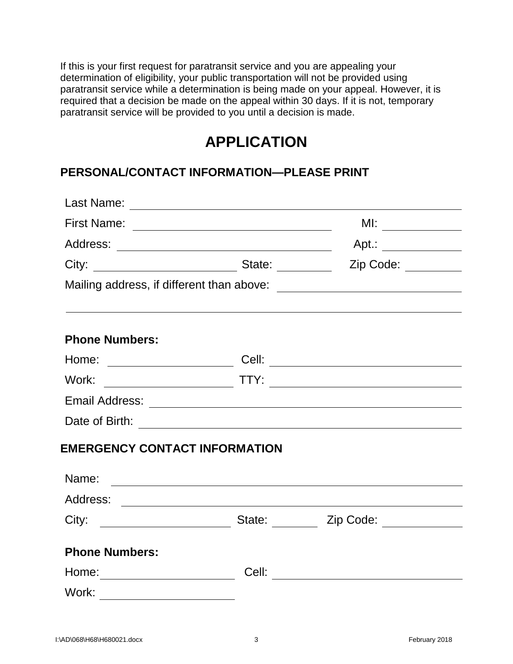If this is your first request for paratransit service and you are appealing your determination of eligibility, your public transportation will not be provided using paratransit service while a determination is being made on your appeal. However, it is required that a decision be made on the appeal within 30 days. If it is not, temporary paratransit service will be provided to you until a decision is made.

## **APPLICATION**

### **PERSONAL/CONTACT INFORMATION—PLEASE PRINT**

| Last Name:                           |       |                                                                                  |
|--------------------------------------|-------|----------------------------------------------------------------------------------|
|                                      |       | MI: $\qquad \qquad$                                                              |
|                                      |       | Apt.: _____________                                                              |
|                                      |       | Zip Code:                                                                        |
|                                      |       |                                                                                  |
|                                      |       |                                                                                  |
| <b>Phone Numbers:</b>                |       |                                                                                  |
| Home: ________________________       |       |                                                                                  |
| Work:                                |       |                                                                                  |
|                                      |       |                                                                                  |
|                                      |       |                                                                                  |
| <b>EMERGENCY CONTACT INFORMATION</b> |       |                                                                                  |
| Name:                                |       | <u> 1989 - Jan Sterlinger, skriuwer fan de Amerikaanske kommunister († 1958)</u> |
|                                      |       |                                                                                  |
|                                      |       |                                                                                  |
| <b>Phone Numbers:</b>                |       |                                                                                  |
| Home:_________________________       | Cell: |                                                                                  |
| Work: __________________________     |       |                                                                                  |
|                                      |       |                                                                                  |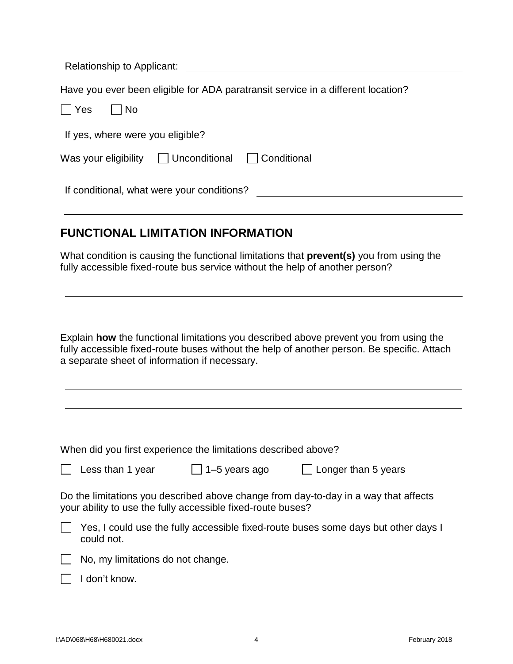| Relationship to Applicant:                                                                                                                                                                                                           |
|--------------------------------------------------------------------------------------------------------------------------------------------------------------------------------------------------------------------------------------|
| Have you ever been eligible for ADA paratransit service in a different location?<br>  No<br>Yes                                                                                                                                      |
| If yes, where were you eligible?                                                                                                                                                                                                     |
| Was your eligibility $\Box$ Unconditional<br>  Conditional                                                                                                                                                                           |
|                                                                                                                                                                                                                                      |
| <b>FUNCTIONAL LIMITATION INFORMATION</b>                                                                                                                                                                                             |
| What condition is causing the functional limitations that <b>prevent(s)</b> you from using the<br>fully accessible fixed-route bus service without the help of another person?                                                       |
|                                                                                                                                                                                                                                      |
| Explain how the functional limitations you described above prevent you from using the<br>fully accessible fixed-route buses without the help of another person. Be specific. Attach<br>a separate sheet of information if necessary. |
|                                                                                                                                                                                                                                      |
|                                                                                                                                                                                                                                      |
| When did you first experience the limitations described above?                                                                                                                                                                       |
| Less than 1 year<br>$\Box$ 1–5 years ago<br>$\Box$ Longer than 5 years                                                                                                                                                               |
| Do the limitations you described above change from day-to-day in a way that affects<br>your ability to use the fully accessible fixed-route buses?                                                                                   |
| Yes, I could use the fully accessible fixed-route buses some days but other days I<br>could not.                                                                                                                                     |
| No, my limitations do not change.                                                                                                                                                                                                    |
| I don't know.                                                                                                                                                                                                                        |
|                                                                                                                                                                                                                                      |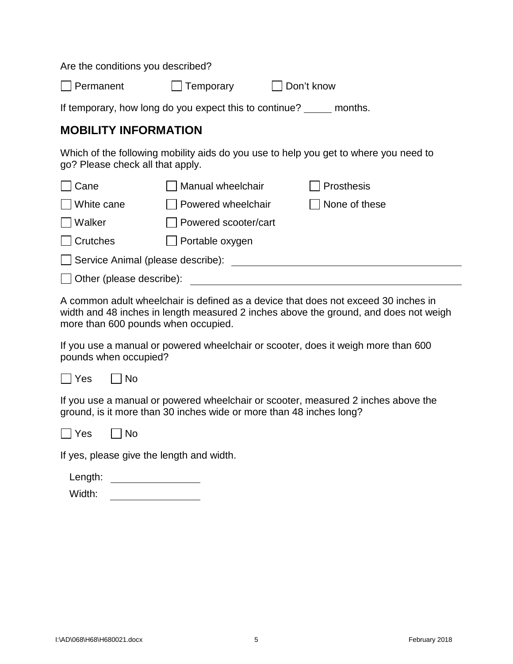Are the conditions you described?

| $\Box$ Permanent | $\Box$ Temporary | $\Box$ Don't know |
|------------------|------------------|-------------------|
|------------------|------------------|-------------------|

If temporary, how long do you expect this to continue? \_\_\_\_\_ months.

### **MOBILITY INFORMATION**

Which of the following mobility aids do you use to help you get to where you need to go? Please check all that apply.

| Cane                              | Manual wheelchair    | Prosthesis    |  |  |  |
|-----------------------------------|----------------------|---------------|--|--|--|
| White cane                        | Powered wheelchair   | None of these |  |  |  |
| Walker                            | Powered scooter/cart |               |  |  |  |
| <b>Crutches</b>                   | Portable oxygen      |               |  |  |  |
| Service Animal (please describe): |                      |               |  |  |  |
| Other (please describe):          |                      |               |  |  |  |
|                                   |                      |               |  |  |  |

A common adult wheelchair is defined as a device that does not exceed 30 inches in width and 48 inches in length measured 2 inches above the ground, and does not weigh more than 600 pounds when occupied.

If you use a manual or powered wheelchair or scooter, does it weigh more than 600 pounds when occupied?



If you use a manual or powered wheelchair or scooter, measured 2 inches above the ground, is it more than 30 inches wide or more than 48 inches long?

|--|

If yes, please give the length and width.

| Length:        |  |
|----------------|--|
| $\overline{M}$ |  |

No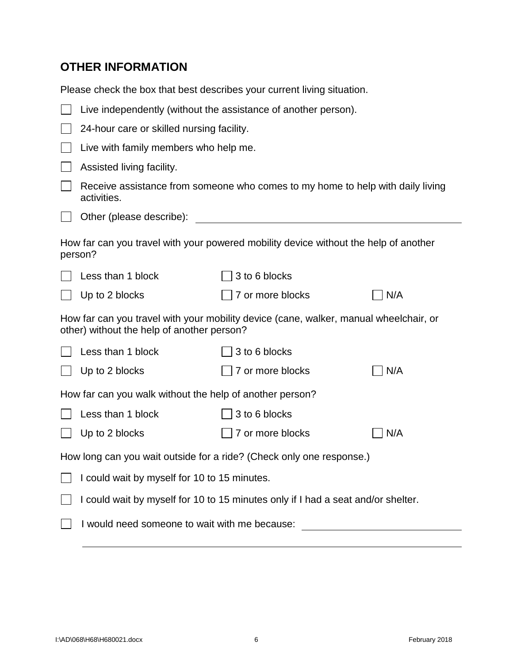### **OTHER INFORMATION**

Please check the box that best describes your current living situation.

|                                                                      | Live independently (without the assistance of another person).                   |                                                                                       |                              |  |  |
|----------------------------------------------------------------------|----------------------------------------------------------------------------------|---------------------------------------------------------------------------------------|------------------------------|--|--|
|                                                                      | 24-hour care or skilled nursing facility.                                        |                                                                                       |                              |  |  |
|                                                                      | Live with family members who help me.                                            |                                                                                       |                              |  |  |
|                                                                      | Assisted living facility.                                                        |                                                                                       |                              |  |  |
|                                                                      | activities.                                                                      | Receive assistance from someone who comes to my home to help with daily living        |                              |  |  |
|                                                                      | Other (please describe):                                                         |                                                                                       |                              |  |  |
|                                                                      | person?                                                                          | How far can you travel with your powered mobility device without the help of another  |                              |  |  |
|                                                                      | Less than 1 block                                                                | 3 to 6 blocks                                                                         |                              |  |  |
|                                                                      | Up to 2 blocks                                                                   | 7 or more blocks                                                                      | N/A                          |  |  |
|                                                                      | other) without the help of another person?                                       | How far can you travel with your mobility device (cane, walker, manual wheelchair, or |                              |  |  |
|                                                                      | Less than 1 block                                                                | 3 to 6 blocks                                                                         |                              |  |  |
|                                                                      | Up to 2 blocks                                                                   | 7 or more blocks                                                                      | $\overline{\phantom{a}}$ N/A |  |  |
|                                                                      | How far can you walk without the help of another person?                         |                                                                                       |                              |  |  |
|                                                                      | Less than 1 block<br>3 to 6 blocks                                               |                                                                                       |                              |  |  |
|                                                                      | Up to 2 blocks                                                                   | 7 or more blocks                                                                      | N/A                          |  |  |
| How long can you wait outside for a ride? (Check only one response.) |                                                                                  |                                                                                       |                              |  |  |
|                                                                      | I could wait by myself for 10 to 15 minutes.                                     |                                                                                       |                              |  |  |
|                                                                      | I could wait by myself for 10 to 15 minutes only if I had a seat and/or shelter. |                                                                                       |                              |  |  |
|                                                                      | I would need someone to wait with me because:                                    |                                                                                       |                              |  |  |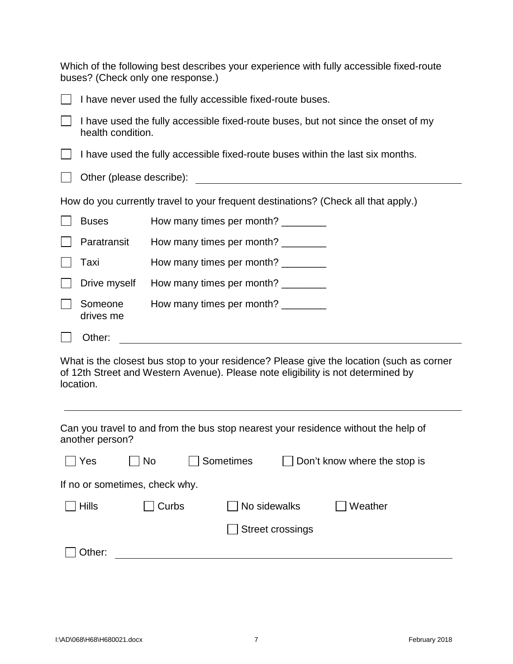Which of the following best describes your experience with fully accessible fixed-route buses? (Check only one response.)

| I have never used the fully accessible fixed-route buses.                                              |                                                                                    |  |  |  |  |
|--------------------------------------------------------------------------------------------------------|------------------------------------------------------------------------------------|--|--|--|--|
| I have used the fully accessible fixed-route buses, but not since the onset of my<br>health condition. |                                                                                    |  |  |  |  |
|                                                                                                        | I have used the fully accessible fixed-route buses within the last six months.     |  |  |  |  |
| Other (please describe):                                                                               |                                                                                    |  |  |  |  |
|                                                                                                        | How do you currently travel to your frequent destinations? (Check all that apply.) |  |  |  |  |
| <b>Buses</b>                                                                                           | How many times per month? ________                                                 |  |  |  |  |
| Paratransit                                                                                            | How many times per month? _________                                                |  |  |  |  |
| Taxi                                                                                                   | How many times per month? _________                                                |  |  |  |  |
| Drive myself                                                                                           | How many times per month?                                                          |  |  |  |  |
| Someone<br>drives me                                                                                   | How many times per month?                                                          |  |  |  |  |
| Other:                                                                                                 |                                                                                    |  |  |  |  |

What is the closest bus stop to your residence? Please give the location (such as corner of 12th Street and Western Avenue). Please note eligibility is not determined by location.

Can you travel to and from the bus stop nearest your residence without the help of another person?

| Yes                            | $\overline{\phantom{a}}$ No | Sometimes | Don't know where the stop is |         |  |  |
|--------------------------------|-----------------------------|-----------|------------------------------|---------|--|--|
| If no or sometimes, check why. |                             |           |                              |         |  |  |
| <b>Hills</b>                   | Curbs                       |           | No sidewalks                 | Weather |  |  |
|                                |                             |           | <b>Street crossings</b>      |         |  |  |
| Other:                         |                             |           |                              |         |  |  |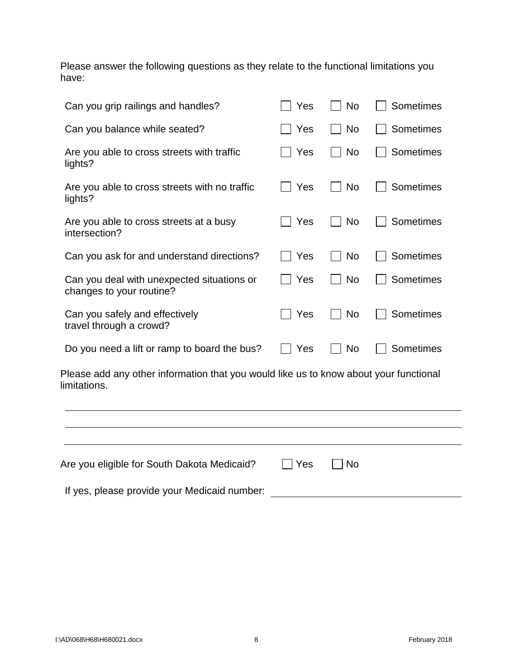Please answer the following questions as they relate to the functional limitations you have:

| Can you grip railings and handles?                                                                    | Yes | <b>No</b> | Sometimes |
|-------------------------------------------------------------------------------------------------------|-----|-----------|-----------|
| Can you balance while seated?                                                                         | Yes | No        | Sometimes |
| Are you able to cross streets with traffic<br>lights?                                                 | Yes | No        | Sometimes |
| Are you able to cross streets with no traffic<br>lights?                                              | Yes | No        | Sometimes |
| Are you able to cross streets at a busy<br>intersection?                                              | Yes | No        | Sometimes |
| Can you ask for and understand directions?                                                            | Yes | No        | Sometimes |
| Can you deal with unexpected situations or<br>changes to your routine?                                | Yes | No        | Sometimes |
| Can you safely and effectively<br>travel through a crowd?                                             | Yes | No        | Sometimes |
| Do you need a lift or ramp to board the bus?                                                          | Yes | No        | Sometimes |
| Please add any other information that you would like us to know about your functional<br>limitations. |     |           |           |
|                                                                                                       |     |           |           |
|                                                                                                       |     |           |           |
| Are you eligible for South Dakota Medicaid?                                                           | Yes | No        |           |

If yes, please provide your Medicaid number: \_\_\_\_\_\_\_\_\_\_\_\_\_\_\_\_\_\_\_\_\_\_\_\_\_\_\_\_\_\_\_\_\_\_\_

 $\mathbb{R}$ 

 $\overline{\phantom{a}}$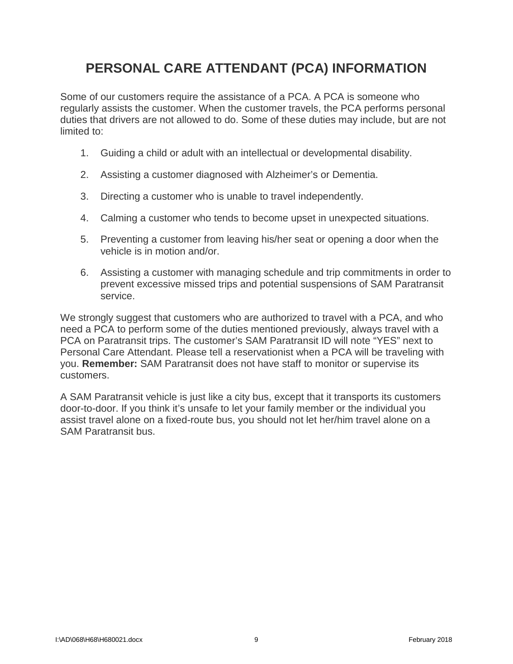### **PERSONAL CARE ATTENDANT (PCA) INFORMATION**

Some of our customers require the assistance of a PCA. A PCA is someone who regularly assists the customer. When the customer travels, the PCA performs personal duties that drivers are not allowed to do. Some of these duties may include, but are not limited to:

- 1. Guiding a child or adult with an intellectual or developmental disability.
- 2. Assisting a customer diagnosed with Alzheimer's or Dementia.
- 3. Directing a customer who is unable to travel independently.
- 4. Calming a customer who tends to become upset in unexpected situations.
- 5. Preventing a customer from leaving his/her seat or opening a door when the vehicle is in motion and/or.
- 6. Assisting a customer with managing schedule and trip commitments in order to prevent excessive missed trips and potential suspensions of SAM Paratransit service.

We strongly suggest that customers who are authorized to travel with a PCA, and who need a PCA to perform some of the duties mentioned previously, always travel with a PCA on Paratransit trips. The customer's SAM Paratransit ID will note "YES" next to Personal Care Attendant. Please tell a reservationist when a PCA will be traveling with you. **Remember:** SAM Paratransit does not have staff to monitor or supervise its customers.

A SAM Paratransit vehicle is just like a city bus, except that it transports its customers door-to-door. If you think it's unsafe to let your family member or the individual you assist travel alone on a fixed-route bus, you should not let her/him travel alone on a SAM Paratransit bus.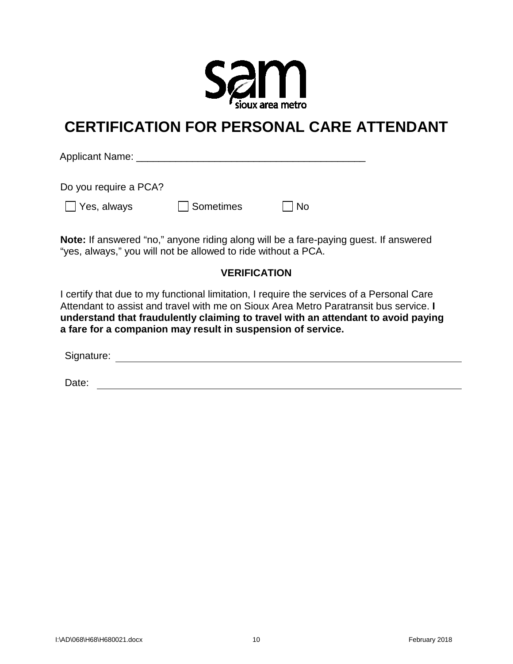

## **CERTIFICATION FOR PERSONAL CARE ATTENDANT**

Applicant Name: \_\_\_\_\_\_\_\_\_\_\_\_\_\_\_\_\_\_\_\_\_\_\_\_\_\_\_\_\_\_\_\_\_\_\_\_\_\_\_\_\_

Do you require a PCA?

| $\Box$ Yes, always | Sometimes | $\Box$ No |
|--------------------|-----------|-----------|
|--------------------|-----------|-----------|

**Note:** If answered "no," anyone riding along will be a fare-paying guest. If answered "yes, always," you will not be allowed to ride without a PCA.

#### **VERIFICATION**

I certify that due to my functional limitation, I require the services of a Personal Care Attendant to assist and travel with me on Sioux Area Metro Paratransit bus service. **I understand that fraudulently claiming to travel with an attendant to avoid paying a fare for a companion may result in suspension of service.**

Signature:

Date: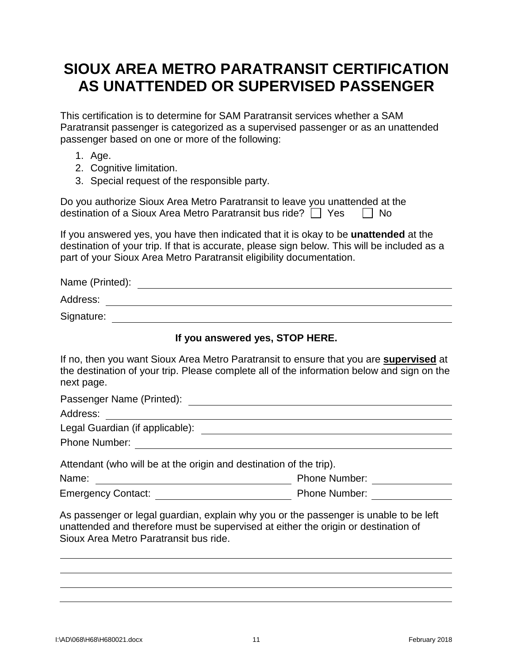## **SIOUX AREA METRO PARATRANSIT CERTIFICATION AS UNATTENDED OR SUPERVISED PASSENGER**

This certification is to determine for SAM Paratransit services whether a SAM Paratransit passenger is categorized as a supervised passenger or as an unattended passenger based on one or more of the following:

- 1. Age.
- 2. Cognitive limitation.
- 3. Special request of the responsible party.

| Do you authorize Sioux Area Metro Paratransit to leave you unattended at the |           |
|------------------------------------------------------------------------------|-----------|
| destination of a Sioux Area Metro Paratransit bus ride? $\Box$ Yes           | $\Box$ No |

If you answered yes, you have then indicated that it is okay to be **unattended** at the destination of your trip. If that is accurate, please sign below. This will be included as a part of your Sioux Area Metro Paratransit eligibility documentation.

| Name (Printed): |  |
|-----------------|--|
| Address:        |  |
| Signature:      |  |

#### **If you answered yes, STOP HERE.**

| If no, then you want Sioux Area Metro Paratransit to ensure that you are <b>supervised</b> at |
|-----------------------------------------------------------------------------------------------|
| the destination of your trip. Please complete all of the information below and sign on the    |
| next page.                                                                                    |

Passenger Name (Printed):

Address: **Address: Address: Address: Address: Address: Address: Address: Address: Address: Address: Address: Address: Address: Address: Address: Address: Address: Address: Address: Add** 

| Legal Guardian (if applicable): |  |
|---------------------------------|--|
| <b>Phone Number:</b>            |  |

| Attendant (who will be at the origin and destination of the trip). |                      |  |  |
|--------------------------------------------------------------------|----------------------|--|--|
| Name:                                                              | <b>Phone Number:</b> |  |  |
| <b>Emergency Contact:</b>                                          | <b>Phone Number:</b> |  |  |

As passenger or legal guardian, explain why you or the passenger is unable to be left unattended and therefore must be supervised at either the origin or destination of Sioux Area Metro Paratransit bus ride.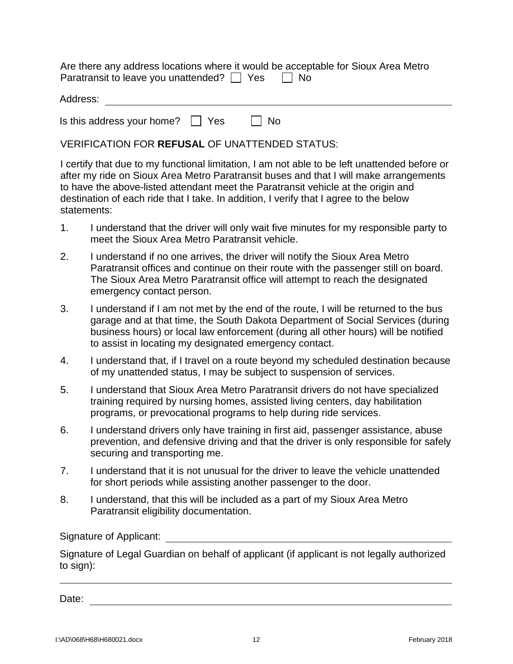Are there any address locations where it would be acceptable for Sioux Area Metro Paratransit to leave you unattended?  $\Box$  Yes  $\Box$  No

| Address: |  |  |
|----------|--|--|
|          |  |  |

Is this address your home?  $\Box$  Yes  $\Box$  No

VERIFICATION FOR **REFUSAL** OF UNATTENDED STATUS:

I certify that due to my functional limitation, I am not able to be left unattended before or after my ride on Sioux Area Metro Paratransit buses and that I will make arrangements to have the above-listed attendant meet the Paratransit vehicle at the origin and destination of each ride that I take. In addition, I verify that I agree to the below statements:

- 1. I understand that the driver will only wait five minutes for my responsible party to meet the Sioux Area Metro Paratransit vehicle.
- 2. I understand if no one arrives, the driver will notify the Sioux Area Metro Paratransit offices and continue on their route with the passenger still on board. The Sioux Area Metro Paratransit office will attempt to reach the designated emergency contact person.
- 3. I understand if I am not met by the end of the route, I will be returned to the bus garage and at that time, the South Dakota Department of Social Services (during business hours) or local law enforcement (during all other hours) will be notified to assist in locating my designated emergency contact.
- 4. I understand that, if I travel on a route beyond my scheduled destination because of my unattended status, I may be subject to suspension of services.
- 5. I understand that Sioux Area Metro Paratransit drivers do not have specialized training required by nursing homes, assisted living centers, day habilitation programs, or prevocational programs to help during ride services.
- 6. I understand drivers only have training in first aid, passenger assistance, abuse prevention, and defensive driving and that the driver is only responsible for safely securing and transporting me.
- 7. I understand that it is not unusual for the driver to leave the vehicle unattended for short periods while assisting another passenger to the door.
- 8. I understand, that this will be included as a part of my Sioux Area Metro Paratransit eligibility documentation.

Signature of Applicant:

Signature of Legal Guardian on behalf of applicant (if applicant is not legally authorized to sign):

Date: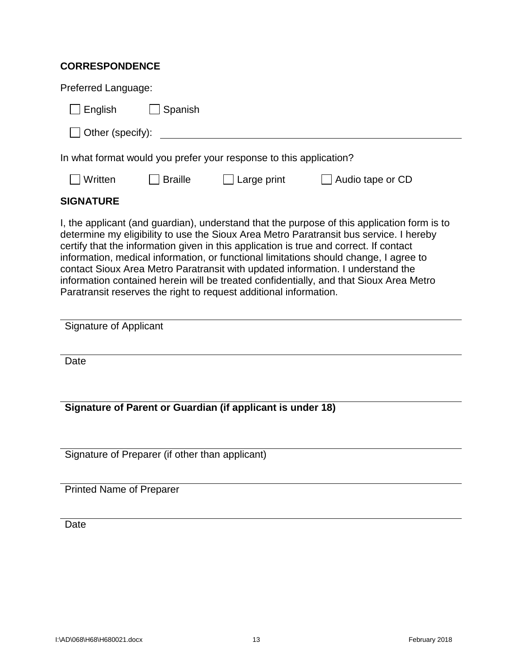### **CORRESPONDENCE**

| Preferred Language:                                                                                                                                                                                                                                                                                                                                                                                                                                                                                                                                                                                                        |  |  |  |
|----------------------------------------------------------------------------------------------------------------------------------------------------------------------------------------------------------------------------------------------------------------------------------------------------------------------------------------------------------------------------------------------------------------------------------------------------------------------------------------------------------------------------------------------------------------------------------------------------------------------------|--|--|--|
| Spanish<br>English                                                                                                                                                                                                                                                                                                                                                                                                                                                                                                                                                                                                         |  |  |  |
| Other (specify):                                                                                                                                                                                                                                                                                                                                                                                                                                                                                                                                                                                                           |  |  |  |
| In what format would you prefer your response to this application?                                                                                                                                                                                                                                                                                                                                                                                                                                                                                                                                                         |  |  |  |
| Written<br><b>Braille</b><br>$\Box$ Large print<br>Audio tape or CD                                                                                                                                                                                                                                                                                                                                                                                                                                                                                                                                                        |  |  |  |
| <b>SIGNATURE</b>                                                                                                                                                                                                                                                                                                                                                                                                                                                                                                                                                                                                           |  |  |  |
| I, the applicant (and guardian), understand that the purpose of this application form is to<br>determine my eligibility to use the Sioux Area Metro Paratransit bus service. I hereby<br>certify that the information given in this application is true and correct. If contact<br>information, medical information, or functional limitations should change, I agree to<br>contact Sioux Area Metro Paratransit with updated information. I understand the<br>information contained herein will be treated confidentially, and that Sioux Area Metro<br>Paratransit reserves the right to request additional information. |  |  |  |
| Signature of Applicant                                                                                                                                                                                                                                                                                                                                                                                                                                                                                                                                                                                                     |  |  |  |
| Date                                                                                                                                                                                                                                                                                                                                                                                                                                                                                                                                                                                                                       |  |  |  |
| Signature of Parent or Guardian (if applicant is under 18)                                                                                                                                                                                                                                                                                                                                                                                                                                                                                                                                                                 |  |  |  |

Signature of Preparer (if other than applicant)

Printed Name of Preparer

**Date**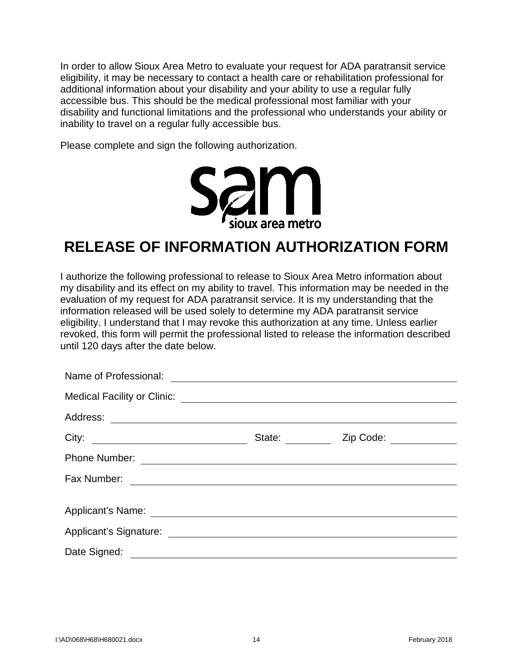In order to allow Sioux Area Metro to evaluate your request for ADA paratransit service eligibility, it may be necessary to contact a health care or rehabilitation professional for additional information about your disability and your ability to use a regular fully accessible bus. This should be the medical professional most familiar with your disability and functional limitations and the professional who understands your ability or inability to travel on a regular fully accessible bus.

Please complete and sign the following authorization.



## **RELEASE OF INFORMATION AUTHORIZATION FORM**

I authorize the following professional to release to Sioux Area Metro information about my disability and its effect on my ability to travel. This information may be needed in the evaluation of my request for ADA paratransit service. It is my understanding that the information released will be used solely to determine my ADA paratransit service eligibility. I understand that I may revoke this authorization at any time. Unless earlier revoked, this form will permit the professional listed to release the information described until 120 days after the date below.

|                                                  |                                                                                                                      | State: <u>Zip Code:</u> |  |
|--------------------------------------------------|----------------------------------------------------------------------------------------------------------------------|-------------------------|--|
| Phone Number:                                    | <u> Alexandria de la contrada de la contrada de la contrada de la contrada de la contrada de la contrada de la c</u> |                         |  |
|                                                  |                                                                                                                      |                         |  |
|                                                  |                                                                                                                      |                         |  |
| Applicant's Signature:<br>Applicant's Signature: |                                                                                                                      |                         |  |
|                                                  |                                                                                                                      |                         |  |